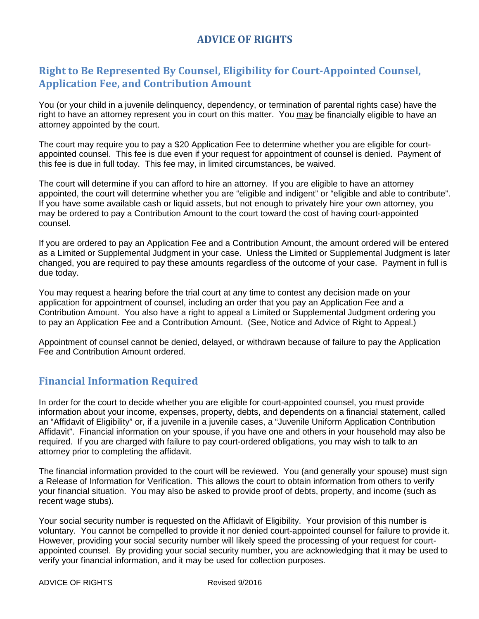## **ADVICE OF RIGHTS**

## **Right to Be Represented By Counsel, Eligibility for Court-Appointed Counsel, Application Fee, and Contribution Amount**

You (or your child in a juvenile delinquency, dependency, or termination of parental rights case) have the right to have an attorney represent you in court on this matter. You may be financially eligible to have an attorney appointed by the court.

The court may require you to pay a \$20 Application Fee to determine whether you are eligible for courtappointed counsel. This fee is due even if your request for appointment of counsel is denied. Payment of this fee is due in full today. This fee may, in limited circumstances, be waived.

The court will determine if you can afford to hire an attorney. If you are eligible to have an attorney appointed, the court will determine whether you are "eligible and indigent" or "eligible and able to contribute". If you have some available cash or liquid assets, but not enough to privately hire your own attorney, you may be ordered to pay a Contribution Amount to the court toward the cost of having court-appointed counsel.

If you are ordered to pay an Application Fee and a Contribution Amount, the amount ordered will be entered as a Limited or Supplemental Judgment in your case. Unless the Limited or Supplemental Judgment is later changed, you are required to pay these amounts regardless of the outcome of your case. Payment in full is due today.

You may request a hearing before the trial court at any time to contest any decision made on your application for appointment of counsel, including an order that you pay an Application Fee and a Contribution Amount. You also have a right to appeal a Limited or Supplemental Judgment ordering you to pay an Application Fee and a Contribution Amount. (See, Notice and Advice of Right to Appeal.)

Appointment of counsel cannot be denied, delayed, or withdrawn because of failure to pay the Application Fee and Contribution Amount ordered.

#### **Financial Information Required**

In order for the court to decide whether you are eligible for court-appointed counsel, you must provide information about your income, expenses, property, debts, and dependents on a financial statement, called an "Affidavit of Eligibility" or, if a juvenile in a juvenile cases, a "Juvenile Uniform Application Contribution Affidavit". Financial information on your spouse, if you have one and others in your household may also be required. If you are charged with failure to pay court-ordered obligations, you may wish to talk to an attorney prior to completing the affidavit.

The financial information provided to the court will be reviewed. You (and generally your spouse) must sign a Release of Information for Verification. This allows the court to obtain information from others to verify your financial situation. You may also be asked to provide proof of debts, property, and income (such as recent wage stubs).

Your social security number is requested on the Affidavit of Eligibility. Your provision of this number is voluntary. You cannot be compelled to provide it nor denied court-appointed counsel for failure to provide it. However, providing your social security number will likely speed the processing of your request for courtappointed counsel. By providing your social security number, you are acknowledging that it may be used to verify your financial information, and it may be used for collection purposes.